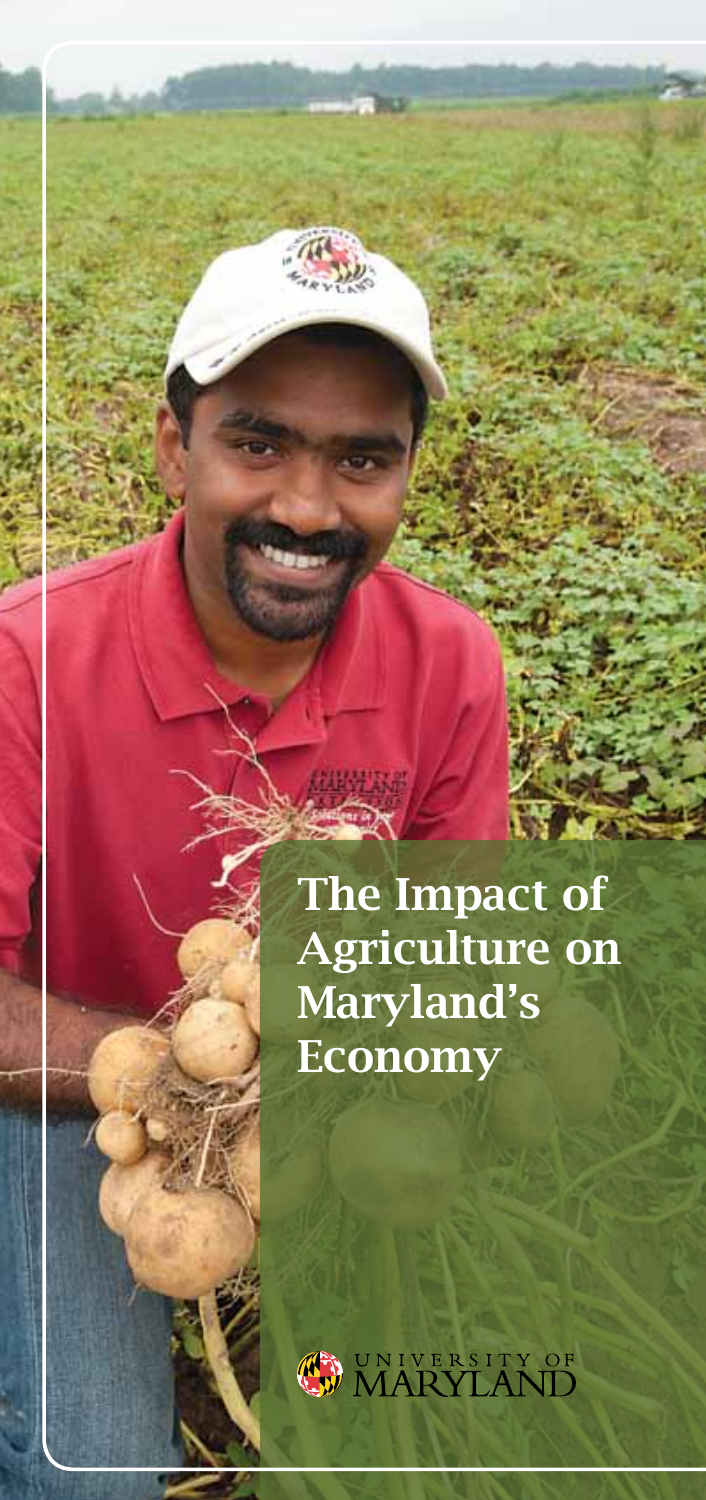The Impact of Agriculture on Maryland's Economy

**CONIVERSITY OF MARYLAND**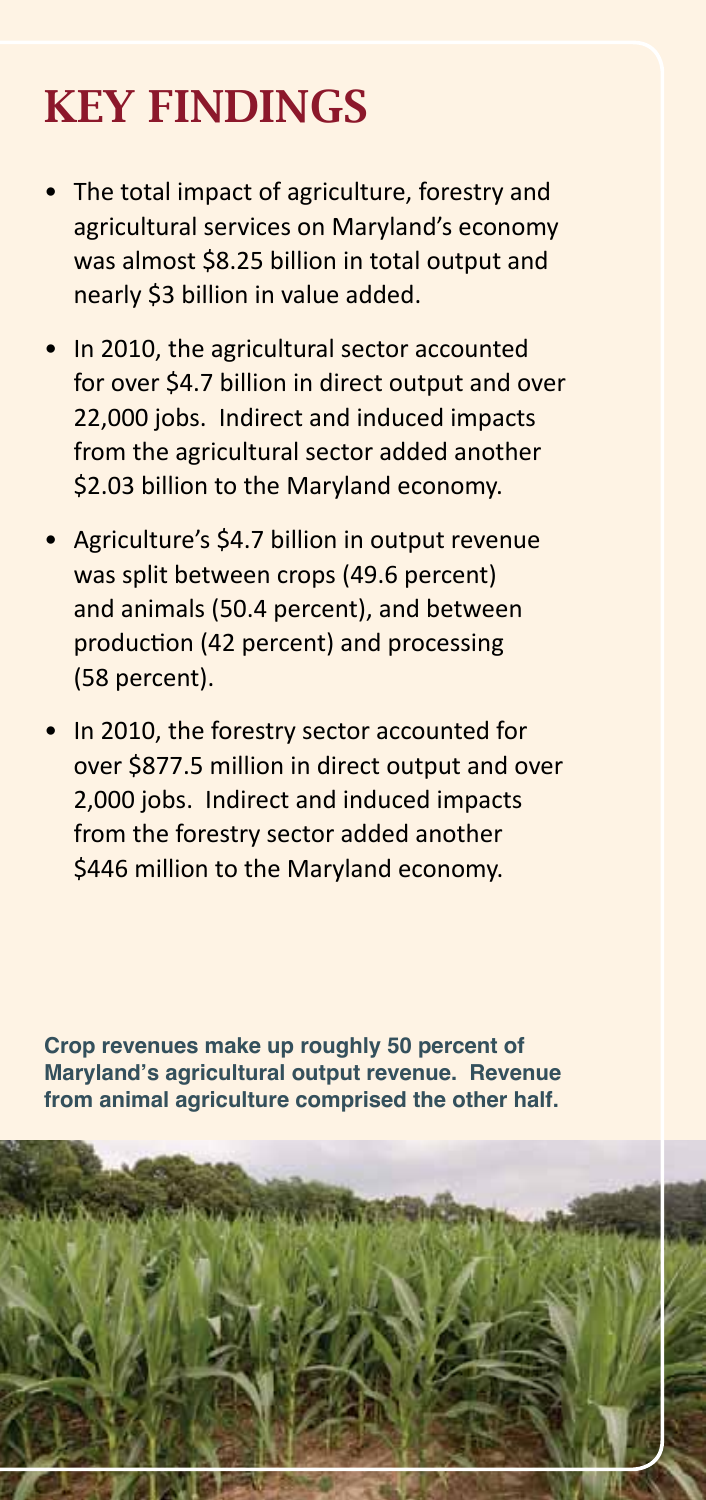# KEY FINDINGS

- The total impact of agriculture, forestry and agricultural services on Maryland's economy was almost \$8.25 billion in total output and nearly \$3 billion in value added.
- In 2010, the agricultural sector accounted for over \$4.7 billion in direct output and over 22,000 jobs. Indirect and induced impacts from the agricultural sector added another \$2.03 billion to the Maryland economy.
- • Agriculture's \$4.7 billion in output revenue was split between crops (49.6 percent) and animals (50.4 percent), and between production (42 percent) and processing (58 percent).
- In 2010, the forestry sector accounted for over \$877.5 million in direct output and over 2,000 jobs. Indirect and induced impacts from the forestry sector added another \$446 million to the Maryland economy.

**Crop revenues make up roughly 50 percent of Maryland's agricultural output revenue. Revenue from animal agriculture comprised the other half.**

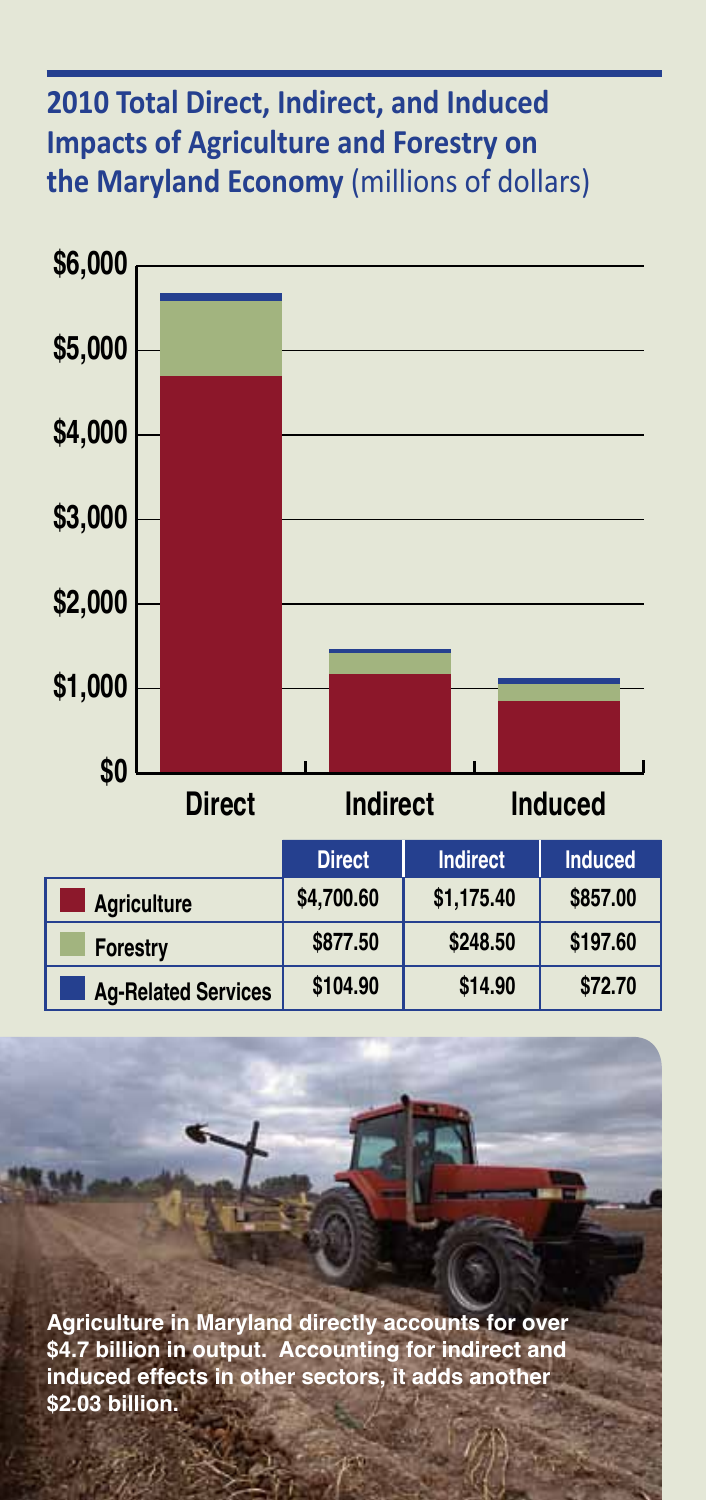#### **2010 Total Direct, Indirect, and Induced Impacts of Agriculture and Forestry on the Maryland Economy** (millions of dollars)



**Agriculture in Maryland directly accounts for over \$4.7 billion in output. Accounting for indirect and induced effects in other sectors, it adds another \$2.03 billion.**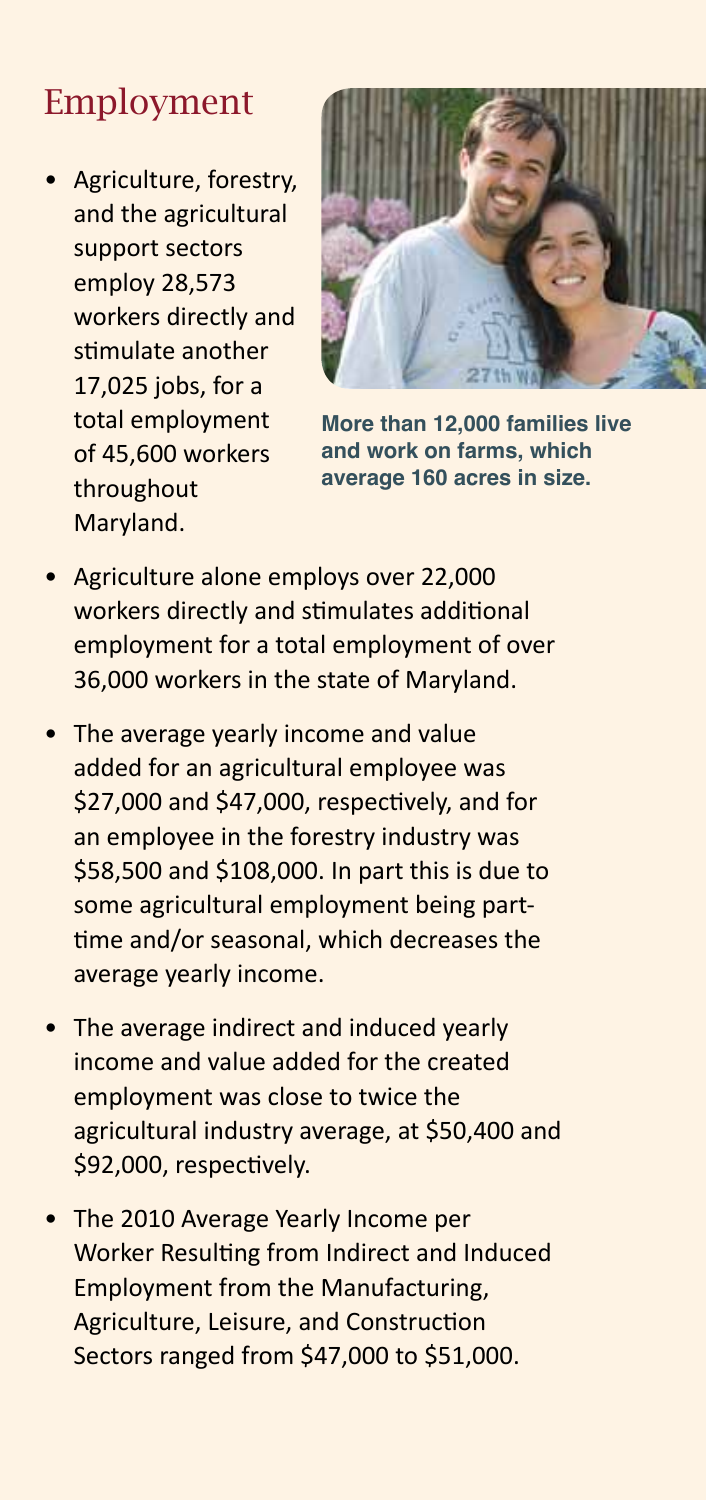### Employment

• Agriculture, forestry, and the agricultural support sectors employ 28,573 workers directly and stimulate another 17,025 jobs, for a total employment of 45,600 workers throughout Maryland.



**More than 12,000 families live and work on farms, which average 160 acres in size.**

- **Agriculture alone employs over 22,000** workers directly and stimulates additional employment for a total employment of over 36,000 workers in the state of Maryland.
- The average yearly income and value added for an agricultural employee was \$27,000 and \$47,000, respectively, and for an employee in the forestry industry was \$58,500 and \$108,000. In part this is due to some agricultural employment being parttime and/or seasonal, which decreases the average yearly income.
- The average indirect and induced yearly income and value added for the created employment was close to twice the agricultural industry average, at \$50,400 and \$92,000, respectively.
- The 2010 Average Yearly Income per Worker Resulting from Indirect and Induced Employment from the Manufacturing, Agriculture, Leisure, and Construction Sectors ranged from \$47,000 to \$51,000.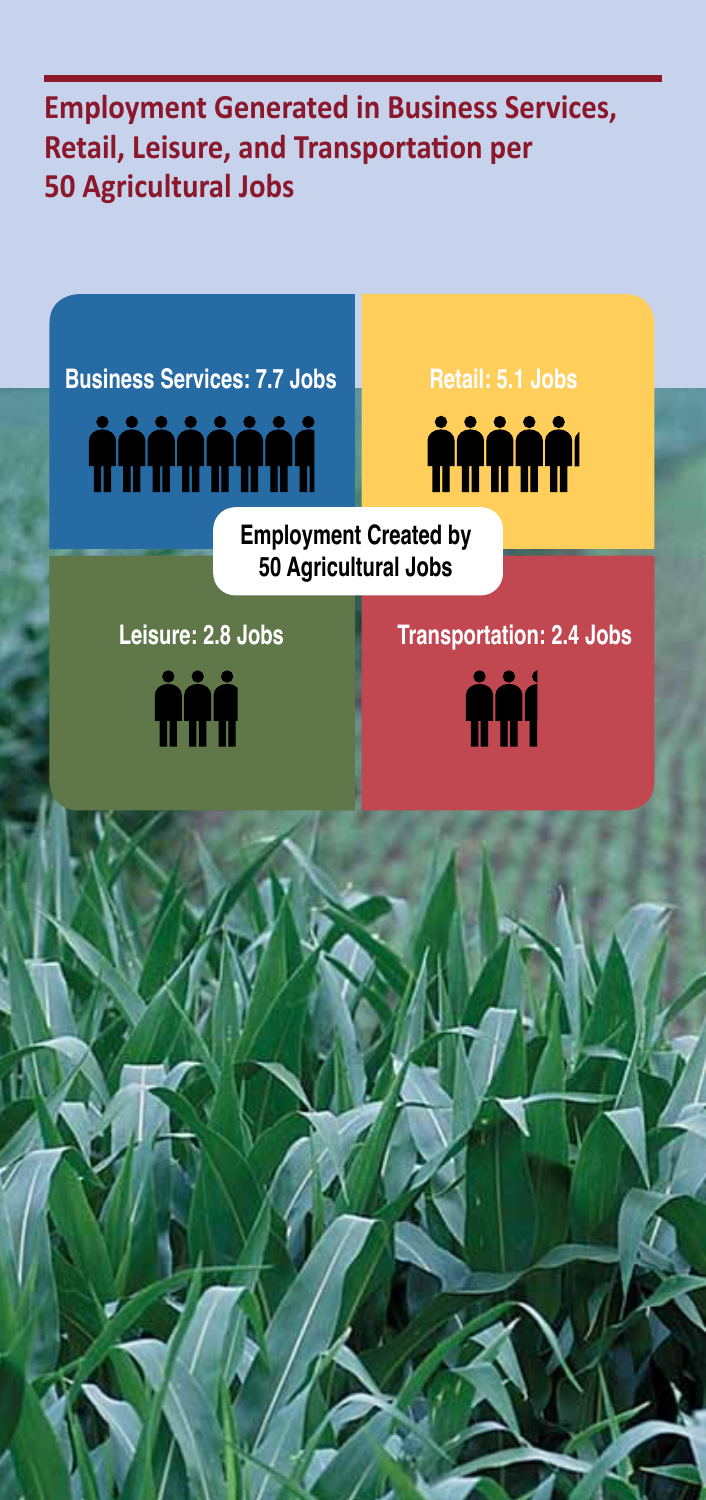**Employment Generated in Business Services, Retail, Leisure, and Transportation per 50 Agricultural Jobs**

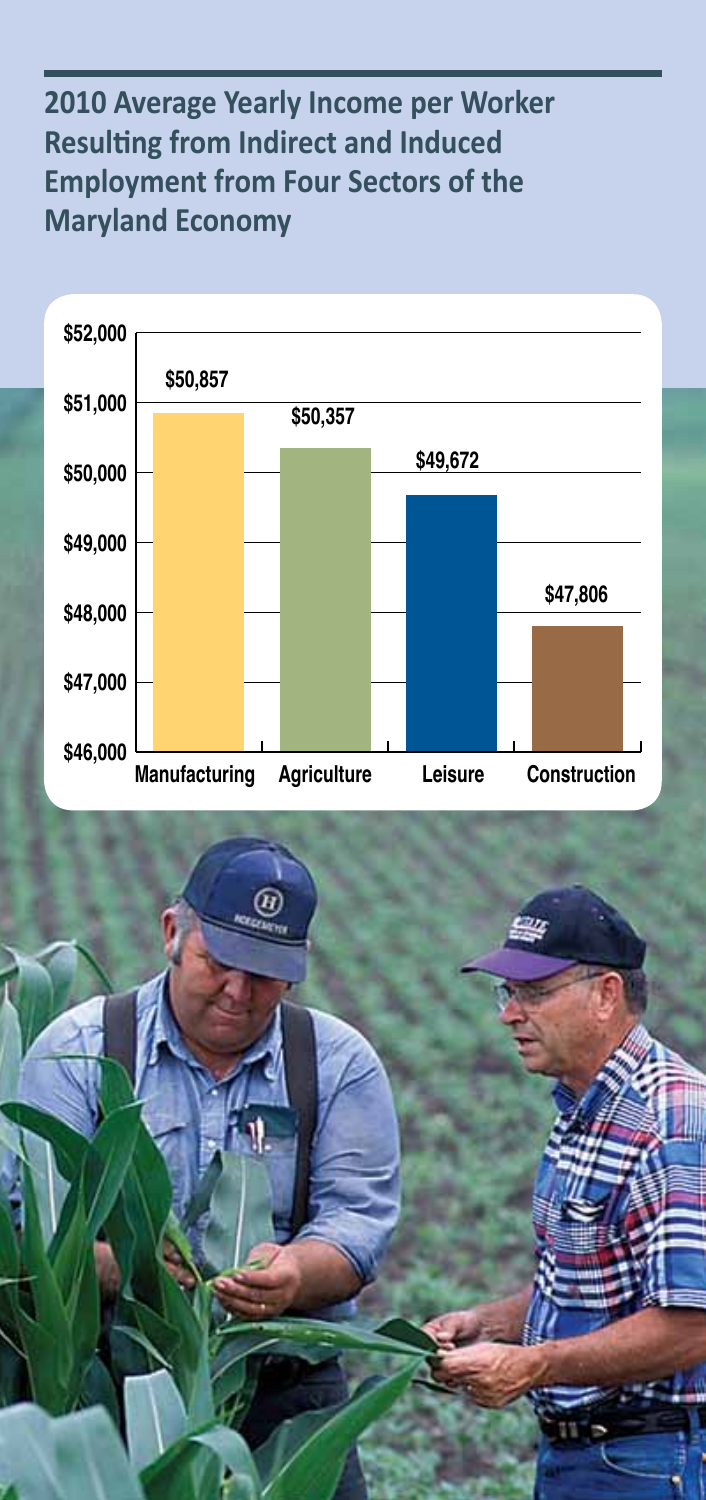#### **2010 Average Yearly Income per Worker Resulting from Indirect and Induced Employment from Four Sectors of the Maryland Economy**



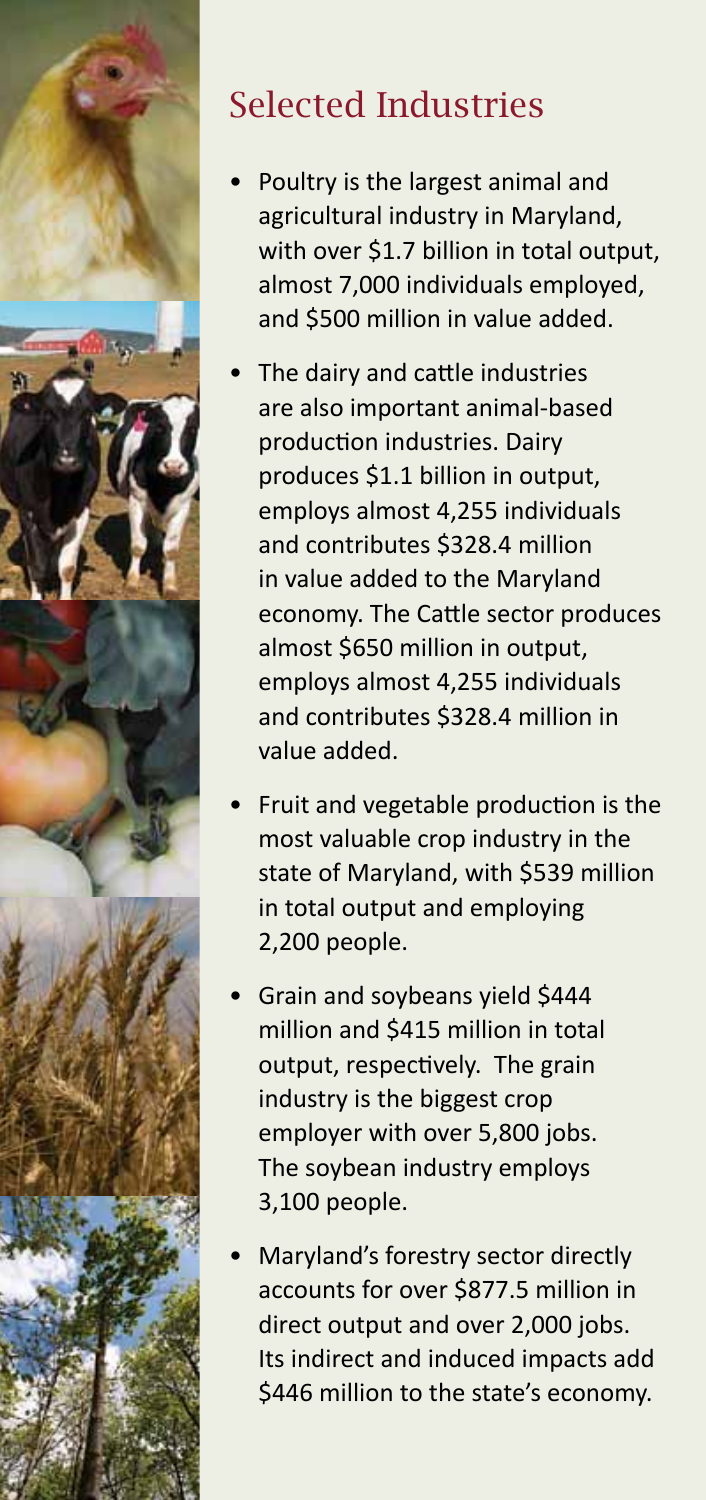

## Selected Industries

- Poultry is the largest animal and agricultural industry in Maryland, with over \$1.7 billion in total output, almost 7,000 individuals employed, and \$500 million in value added.
- The dairy and cattle industries are also important animal-based production industries. Dairy produces \$1.1 billion in output, employs almost 4,255 individuals and contributes \$328.4 million in value added to the Maryland economy. The Cattle sector produces almost \$650 million in output, employs almost 4,255 individuals and contributes \$328.4 million in value added.
- Fruit and vegetable production is the most valuable crop industry in the state of Maryland, with \$539 million in total output and employing 2,200 people.
- Grain and soybeans yield \$444 million and \$415 million in total output, respectively. The grain industry is the biggest crop employer with over 5,800 jobs. The soybean industry employs 3,100 people.
- Maryland's forestry sector directly accounts for over \$877.5 million in direct output and over 2,000 jobs. Its indirect and induced impacts add \$446 million to the state's economy.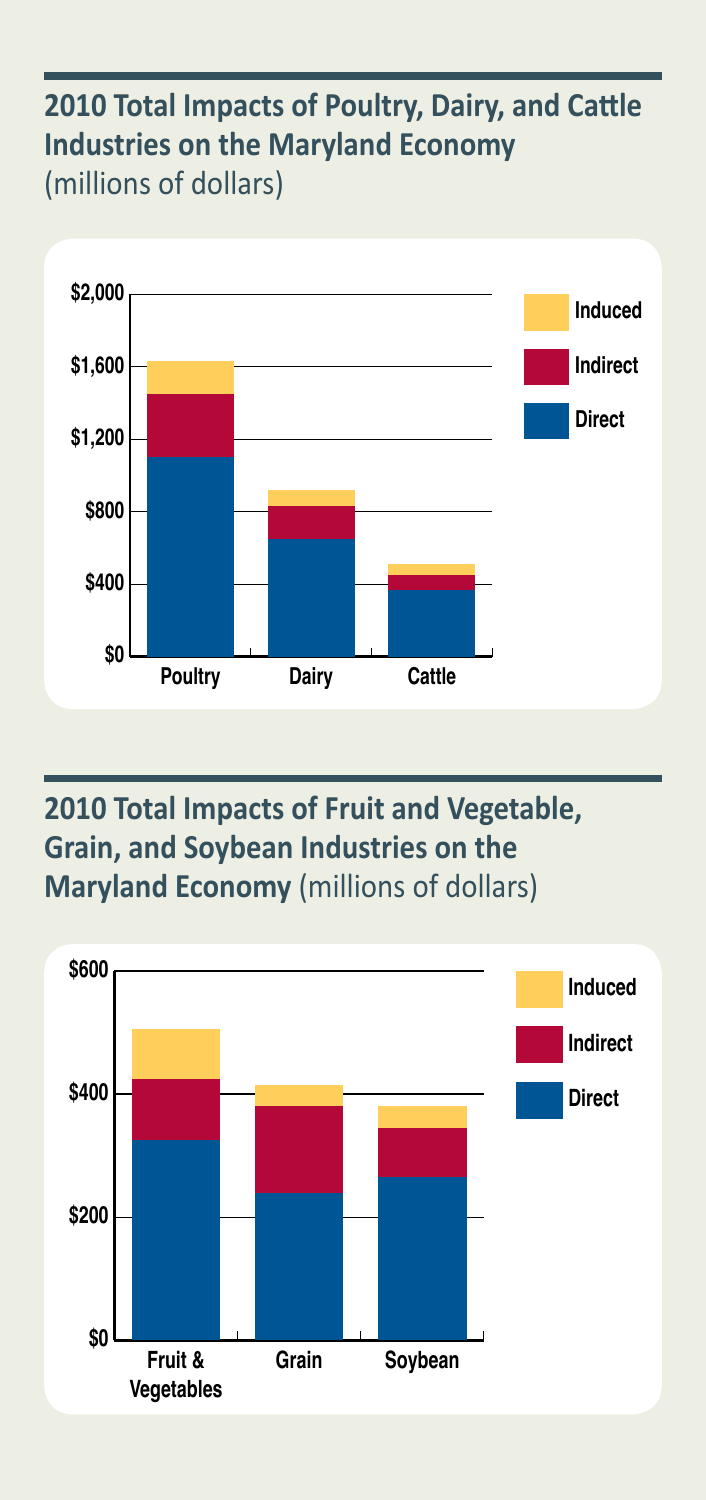#### **2010 Total Impacts of Poultry, Dairy, and Cattle Industries on the Maryland Economy** (millions of dollars)



#### **2010 Total Impacts of Fruit and Vegetable, Grain, and Soybean Industries on the Maryland Economy** (millions of dollars)

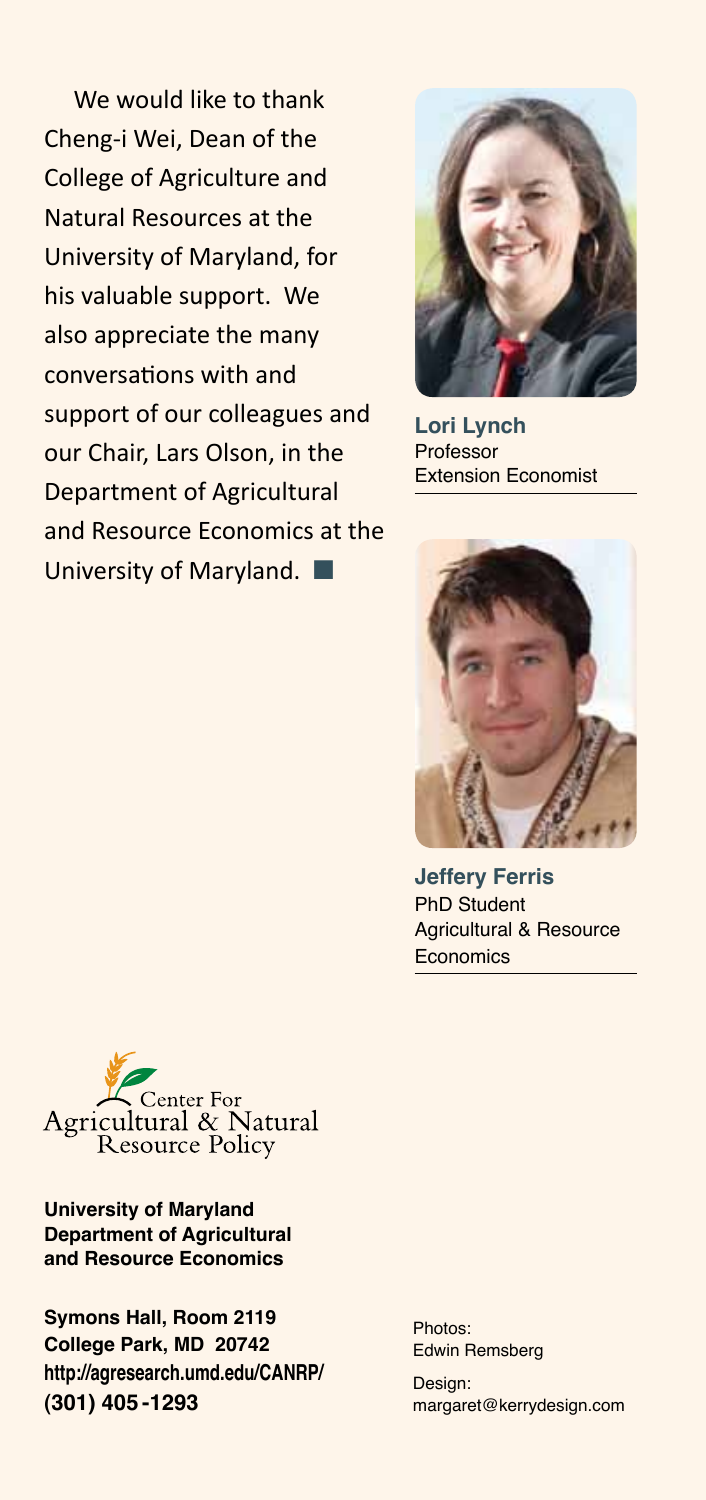We would like to thank Cheng-i Wei, Dean of the College of Agriculture and Natural Resources at the University of Maryland, for his valuable support. We also appreciate the many conversations with and support of our colleagues and our Chair, Lars Olson, in the Department of Agricultural and Resource Economics at the University of Maryland.  $\blacksquare$ 



**Lori Lynch** Professor Extension Economist



**Jeffery Ferris** PhD Student Agricultural & Resource **Economics** 



**University of Maryland Department of Agricultural and Resource Economics**

**Symons Hall, Room 2119 College Park, MD 20742 http://agresearch.umd.edu/CANRP/ (301) 405 -1293**

Photos: Edwin Remsberg

Design: margaret@kerrydesign.com